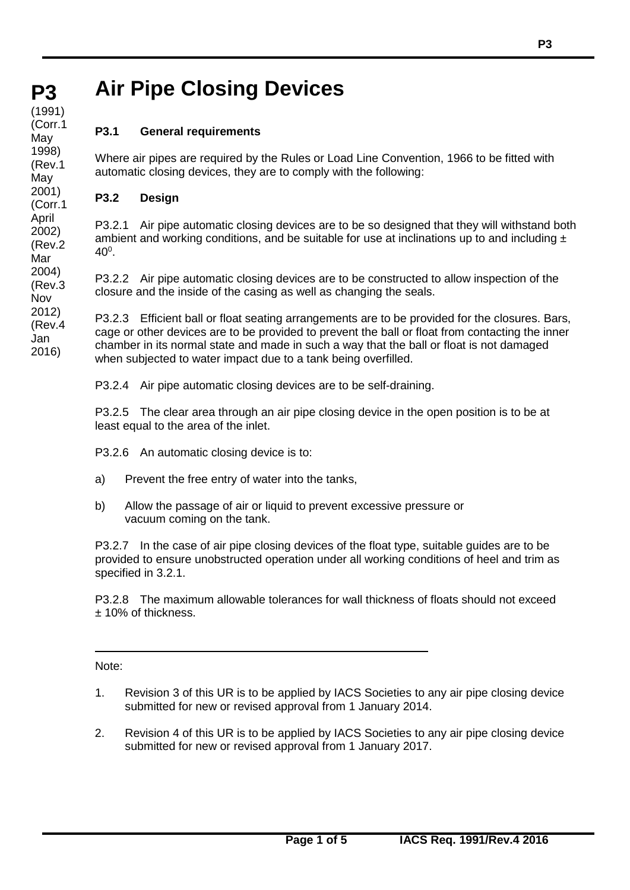#### **P3 (cont)** (1991) (Corr.1 **May** 1998) (Rev.1 May 2001) (Corr.1 April

2002) (Rev.2 Mar 2004) (Rev.3 Nov

Jan

# **Air Pipe Closing Devices**

# **P3.1 General requirements**

Where air pipes are required by the Rules or Load Line Convention, 1966 to be fitted with automatic closing devices, they are to comply with the following:

## **P3.2 Design**

P3.2.1 Air pipe automatic closing devices are to be so designed that they will withstand both ambient and working conditions, and be suitable for use at inclinations up to and including  $\pm$  $40^{\circ}$ .

P3.2.2 Air pipe automatic closing devices are to be constructed to allow inspection of the closure and the inside of the casing as well as changing the seals.

P3.2.3 Efficient ball or float seating arrangements are to be provided for the closures. Bars, cage or other devices are to be provided to prevent the ball or float from contacting the inner chamber in its normal state and made in such a way that the ball or float is not damaged when subjected to water impact due to a tank being overfilled. 2012) (Rev.4 2016)

P3.2.4 Air pipe automatic closing devices are to be self-draining.

P3.2.5 The clear area through an air pipe closing device in the open position is to be at least equal to the area of the inlet.

- P3.2.6 An automatic closing device is to:
- a) Prevent the free entry of water into the tanks,
- b) Allow the passage of air or liquid to prevent excessive pressure or vacuum coming on the tank.

P3.2.7 In the case of air pipe closing devices of the float type, suitable guides are to be provided to ensure unobstructed operation under all working conditions of heel and trim as specified in 3.2.1.

P3.2.8 The maximum allowable tolerances for wall thickness of floats should not exceed ± 10% of thickness.

Note:

- 1. Revision 3 of this UR is to be applied by IACS Societies to any air pipe closing device submitted for new or revised approval from 1 January 2014.
- 2. Revision 4 of this UR is to be applied by IACS Societies to any air pipe closing device submitted for new or revised approval from 1 January 2017.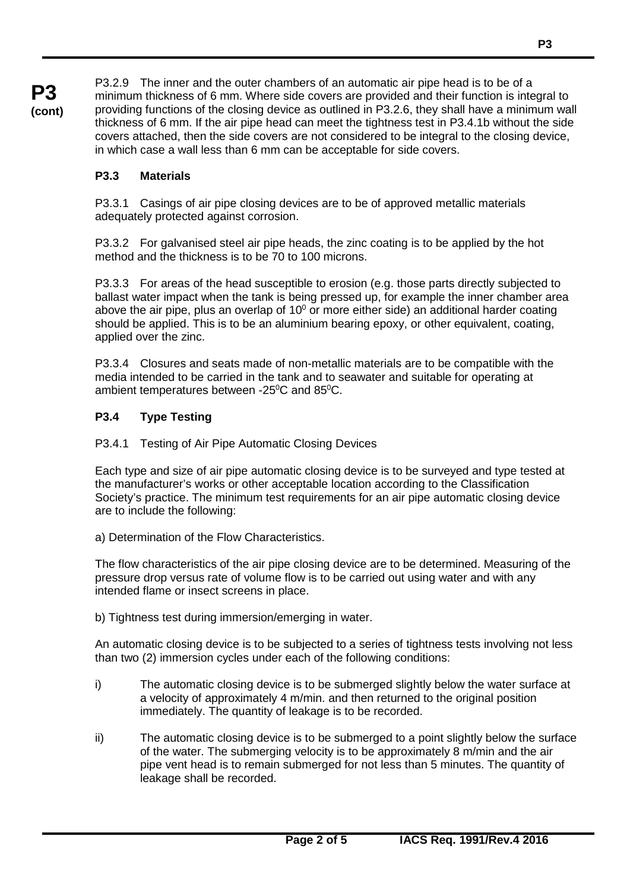**P3 (cont)** P3.2.9 The inner and the outer chambers of an automatic air pipe head is to be of a minimum thickness of 6 mm. Where side covers are provided and their function is integral to providing functions of the closing device as outlined in P3.2.6, they shall have a minimum wall thickness of 6 mm. If the air pipe head can meet the tightness test in P3.4.1b without the side covers attached, then the side covers are not considered to be integral to the closing device, in which case a wall less than 6 mm can be acceptable for side covers.

## **P3.3 Materials**

P3.3.1 Casings of air pipe closing devices are to be of approved metallic materials adequately protected against corrosion.

P3.3.2 For galvanised steel air pipe heads, the zinc coating is to be applied by the hot method and the thickness is to be 70 to 100 microns.

P3.3.3 For areas of the head susceptible to erosion (e.g. those parts directly subjected to ballast water impact when the tank is being pressed up, for example the inner chamber area above the air pipe, plus an overlap of  $10^{\circ}$  or more either side) an additional harder coating should be applied. This is to be an aluminium bearing epoxy, or other equivalent, coating, applied over the zinc.

P3.3.4 Closures and seats made of non-metallic materials are to be compatible with the media intended to be carried in the tank and to seawater and suitable for operating at ambient temperatures between -25 $\mathrm{^0C}$  and 85 $\mathrm{^0C}$ .

## **P3.4 Type Testing**

## P3.4.1 Testing of Air Pipe Automatic Closing Devices

Each type and size of air pipe automatic closing device is to be surveyed and type tested at the manufacturer's works or other acceptable location according to the Classification Society's practice. The minimum test requirements for an air pipe automatic closing device are to include the following:

a) Determination of the Flow Characteristics.

The flow characteristics of the air pipe closing device are to be determined. Measuring of the pressure drop versus rate of volume flow is to be carried out using water and with any intended flame or insect screens in place.

b) Tightness test during immersion/emerging in water.

An automatic closing device is to be subjected to a series of tightness tests involving not less than two (2) immersion cycles under each of the following conditions:

- i) The automatic closing device is to be submerged slightly below the water surface at a velocity of approximately 4 m/min. and then returned to the original position immediately. The quantity of leakage is to be recorded.
- ii) The automatic closing device is to be submerged to a point slightly below the surface of the water. The submerging velocity is to be approximately 8 m/min and the air pipe vent head is to remain submerged for not less than 5 minutes. The quantity of leakage shall be recorded.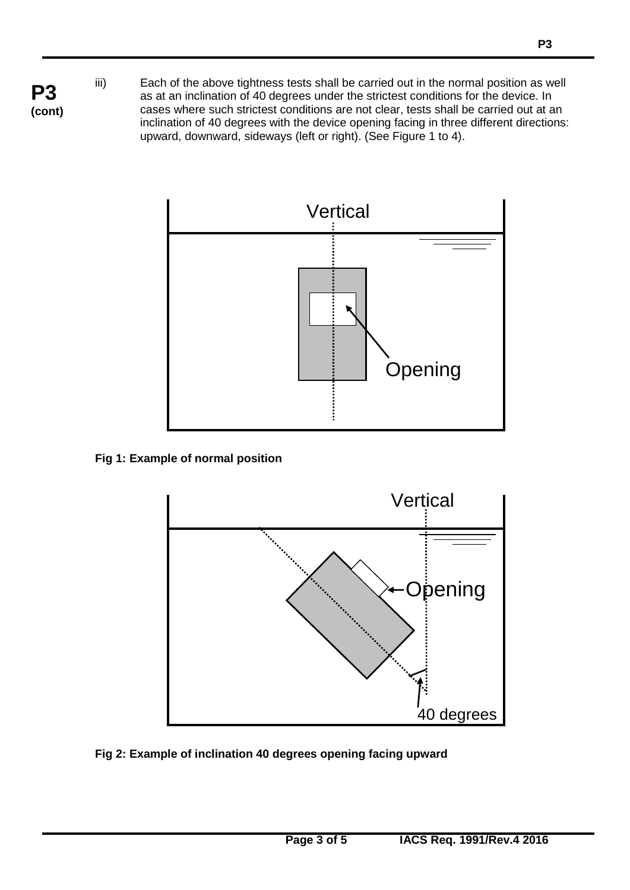iii) Each of the above tightness tests shall be carried out in the normal position as well as at an inclination of 40 degrees under the strictest conditions for the device. In cases where such strictest conditions are not clear, tests shall be carried out at an inclination of 40 degrees with the device opening facing in three different directions: upward, downward, sideways (left or right). (See Figure 1 to 4).



## **Fig 1: Example of normal position**



## **Fig 2: Example of inclination 40 degrees opening facing upward**

**P3 (cont)**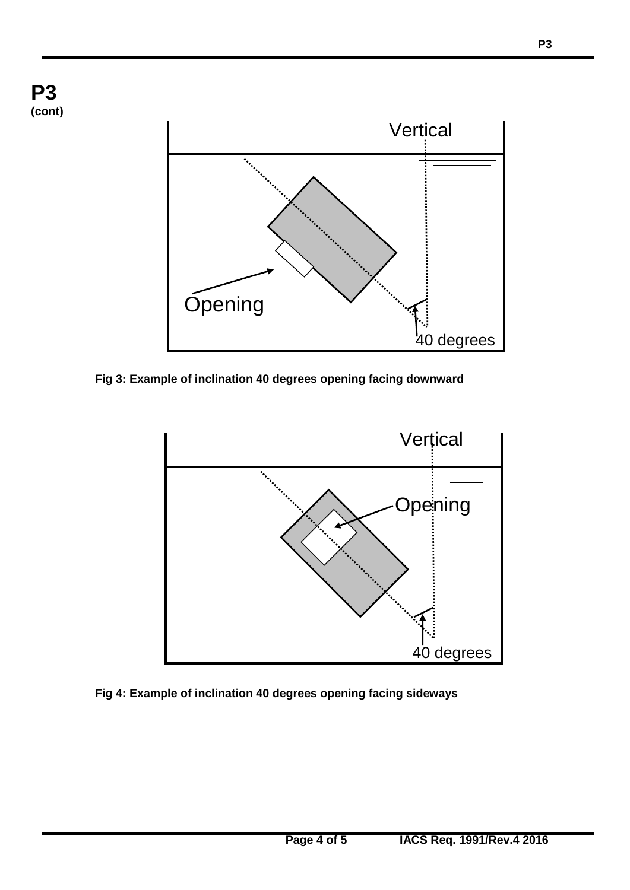

**Fig 3: Example of inclination 40 degrees opening facing downward**



**Fig 4: Example of inclination 40 degrees opening facing sideways**